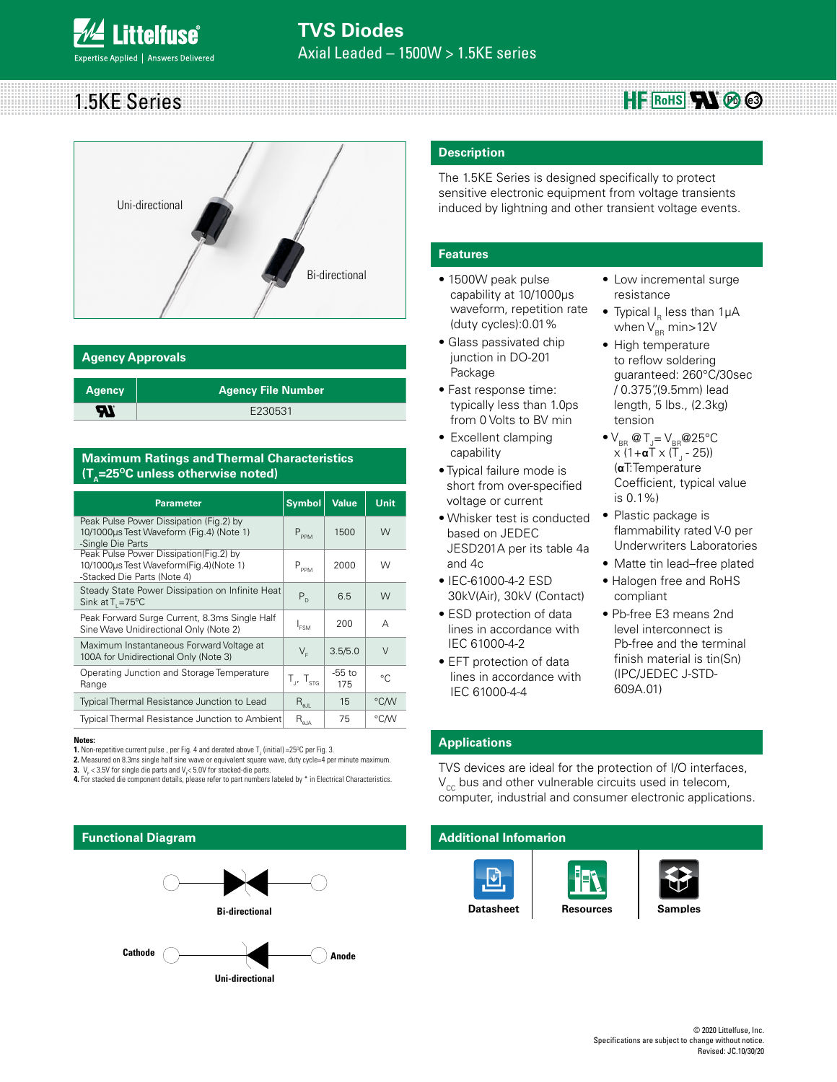### 1.5KE Series  $HF$  RoHS**AN**  $\otimes$   $\otimes$



### **Agency Approvals**

| <b>Agency</b> | <b>Agency File Number</b> |
|---------------|---------------------------|
| ЧI            | E230531                   |

### **Maximum Ratings and Thermal Characteristics (T<sub>A</sub>=25<sup>o</sup>C unless otherwise noted)**

| <b>Parameter</b>                                                                                                | <b>Symbol</b>                                      | <b>Value</b>    | Unit   |
|-----------------------------------------------------------------------------------------------------------------|----------------------------------------------------|-----------------|--------|
| Peak Pulse Power Dissipation (Fig.2) by<br>10/1000µs Test Waveform (Fig.4) (Note 1)<br>-Single Die Parts        | $P_{PPM}$                                          | 1500            | W      |
| Peak Pulse Power Dissipation(Fig.2) by<br>10/1000us Test Waveform(Fig.4)(Note 1)<br>-Stacked Die Parts (Note 4) | $P_{PPM}$                                          | 2000            | W      |
| Steady State Power Dissipation on Infinite Heat<br>Sink at $T = 75^{\circ}$ C                                   | $P_{n}$                                            | 6.5             | W      |
| Peak Forward Surge Current, 8.3ms Single Half<br>Sine Wave Unidirectional Only (Note 2)                         | $I_{FSM}$                                          | 200             | А      |
| Maximum Instantaneous Forward Voltage at<br>100A for Unidirectional Only (Note 3)                               | $V_{E}$                                            | 3.5/5.0         | $\vee$ |
| Operating Junction and Storage Temperature<br>Range                                                             | $T_{1}$ , $T_{\text{str}}$                         | $-55$ to<br>175 | °C.    |
| Typical Thermal Resistance Junction to Lead                                                                     | $R_{\rm all}$                                      | 15              | °C/W   |
| <b>Typical Thermal Resistance Junction to Ambient</b>                                                           | $\mathsf{R}_{\scriptscriptstyle\theta\mathsf{JA}}$ | 75              | °C/W   |

#### **Notes:**

**1.** Non-repetitive current pulse , per Fig. 4 and derated above  $T_{\text{J}}$  (initial) =25°C per Fig. 3.

**2.** Measured on 8.3ms single half sine wave or equivalent square wave, duty cycle=4 per minute maximum.<br>**3.** V<sub>F</sub> < 3.5V for single die parts and V<sub>F</sub>< 5.0V for stacked-die parts.

**4.** For stacked die component details, please refer to part numbers labeled by \* in Electrical Characteristics.

### **Functional Diagram**



### **Description**

The 1.5KE Series is designed specifically to protect sensitive electronic equipment from voltage transients induced by lightning and other transient voltage events.

### **Features**

- 1500W peak pulse capability at 10/1000μs waveform, repetition rate (duty cycles):0.01%
- Glass passivated chip junction in DO-201 Package
- Fast response time: typically less than 1.0ps from 0 Volts to BV min
- Excellent clamping capability
- Typical failure mode is short from over-specified voltage or current
- Whisker test is conducted based on JEDEC JESD201A per its table 4a and 4c
- IEC-61000-4-2 ESD 30kV(Air), 30kV (Contact)
- ESD protection of data lines in accordance with IEC 61000-4-2
- EFT protection of data lines in accordance with IEC 61000-4-4
- Low incremental surge resistance
- Typical  $I_R$  less than 1 $\mu$ A when  $V_{BR}$  min>12V
- High temperature to reflow soldering guaranteed: 260°C/30sec / 0.375",(9.5mm) lead length, 5 lbs., (2.3kg) tension
- $\bullet$  V<sub>BR</sub> @ T<sub>J</sub>= V<sub>BR</sub> @ 25°C x (1+**α**T x (T<sub>J</sub> - 25)) (**α**T:Temperature Coefficient, typical value is 0.1%)
- Plastic package is flammability rated V-0 per Underwriters Laboratories
- Matte tin lead–free plated
- Halogen free and RoHS compliant
- Pb-free E3 means 2nd level interconnect is Pb-free and the terminal finish material is tin(Sn) (IPC/JEDEC J-STD-609A.01)

### **Applications**

TVS devices are ideal for the protection of I/O interfaces,  $V_{cc}$  bus and other vulnerable circuits used in telecom, computer, industrial and consumer electronic applications.

### **Additional Infomarion**

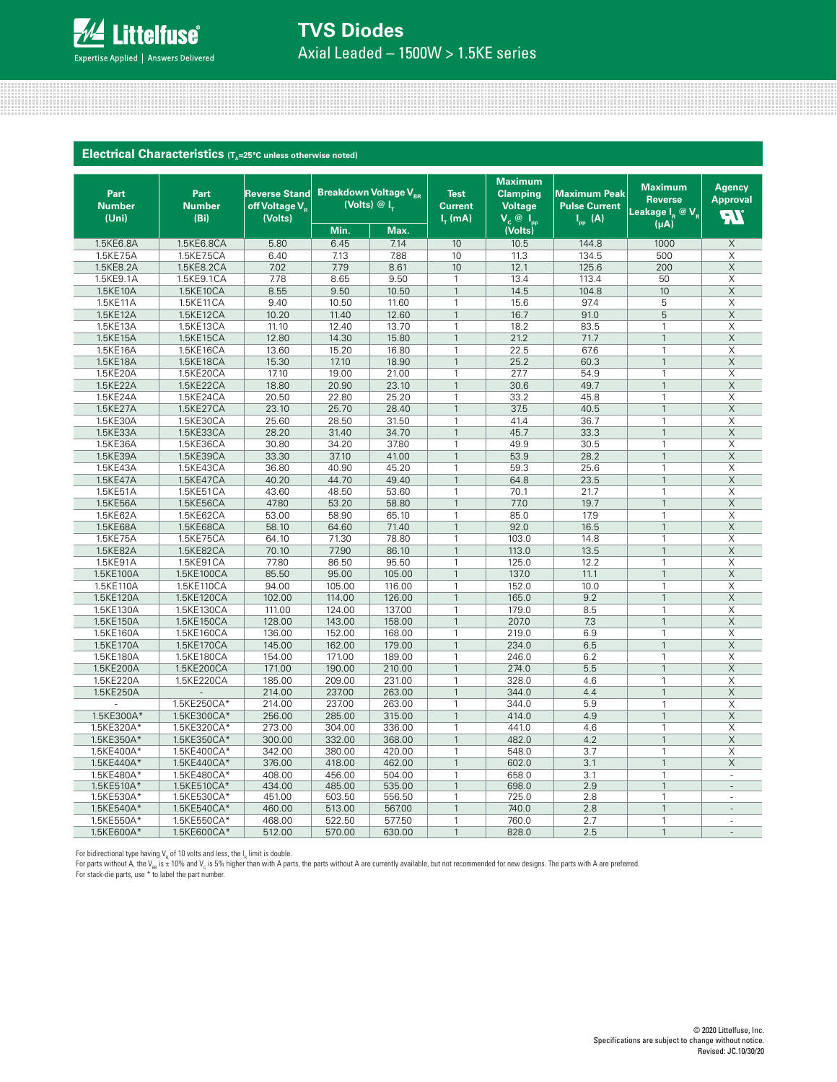

## **TVS Diodes**

Axial Leaded – 1500W > 1.5KE series

| <b>Maximum</b><br><b>Maximum</b><br>Agency<br><b>Breakdown Voltage V<sub>BR</sub></b><br>Part<br>Part<br><b>Reverse Stand</b><br><b>Test</b><br><b>Clamping</b><br><b>Maximum Peak</b><br><b>Approval</b><br><b>Reverse</b><br>(Volts) @ I <sub>r</sub><br><b>Number</b><br><b>Number</b><br>off Voltage V <sub>R</sub><br><b>Voltage</b><br><b>Pulse Current</b><br><b>Current</b><br>Leakage I <sub>R</sub> @ V <sub>R</sub><br><b>AI</b><br>(Uni)<br>(B <sub>i</sub> )<br>(Volts)<br>$Ir$ (mA)<br>$V_c$ $\overline{Q}$ $I_{pp}$<br>$I_{\text{pp}}(A)$<br>(uA)<br>Min.<br>Max.<br>(Volts)<br>1.5KE6.8A<br>5.80<br>7.14<br>10<br>10.5<br>144.8<br>1000<br>1.5KE6.8CA<br>6.45<br>X<br>1.5KE7.5A<br>1.5KE7.5CA<br>6.40<br>7.88<br>10<br>11.3<br>134.5<br>500<br>X<br>7.13<br>7.02<br>1.5KE8.2A<br>1.5KE8.2CA<br>7.79<br>8.61<br>10<br>12.1<br>125.6<br>200<br>$\times$<br>$\boldsymbol{\mathsf{X}}$<br>1.5KE9.1A<br>1.5KE9.1CA<br>7.78<br>8.65<br>9.50<br>$\mathbf{1}$<br>13.4<br>113.4<br>50<br>8.55<br>$\mathsf X$<br>1.5KE10A<br>1.5KE10CA<br>9.50<br>10.50<br>14.5<br>104.8<br>10<br>$\mathbf{1}$<br>97.4<br>1.5KE11A<br>1.5KE11CA<br>9.40<br>10.50<br>11.60<br>15.6<br>5<br>X<br>1<br>10.20<br>91.0<br>5<br>$\times$<br>1.5KE12A<br>1.5KE12CA<br>11.40<br>12.60<br>$\overline{1}$<br>16.7<br>$\times$<br>1.5KE13A<br>1.5KE13CA<br>11.10<br>12.40<br>13.70<br>$\mathbf{1}$<br>18.2<br>83.5<br>1<br>12.80<br>1.5KE15A<br>1.5KE15CA<br>14.30<br>15.80<br>21.2<br>71.7<br>$\times$<br>$\mathbf{1}$<br>$\mathbf{1}$<br>13.60<br>15.20<br>22.5<br>67.6<br>Χ<br>1.5KE16A<br>1.5KE16CA<br>16.80<br>$\mathbf{1}$<br>1<br>1.5KE18A<br>1.5KE18CA<br>15.30<br>17.10<br>18.90<br>25.2<br>60.3<br>$\boldsymbol{\mathsf{X}}$<br>$\mathbf{1}$<br>$\mathbf{1}$<br>1.5KE20A<br>1.5KE20CA<br>17.10<br>19.00<br>21.00<br>27.7<br>54.9<br>X<br>$\overline{1}$<br>$\mathbf{1}$<br>18.80<br>20.90<br>30.6<br>49.7<br>$\times$<br>1.5KE22A<br>1.5KE22CA<br>23.10<br>$\mathbf{1}$<br>$\mathbf{1}$<br>1.5KE24CA<br>20.50<br>$\overline{\mathsf{x}}$<br>1.5KE24A<br>22.80<br>25.20<br>33.2<br>45.8<br>$\mathbf{1}$<br>1<br>1.5KE27A<br>1.5KE27CA<br>23.10<br>25.70<br>28.40<br>37.5<br>40.5<br>$\mathbf{1}$<br>X<br>$\mathbf{1}$<br>25.60<br>1.5KE30A<br>1.5KE30CA<br>28.50<br>31.50<br>41.4<br>36.7<br>$\mathbf{1}$<br>X<br>$\mathbf{1}$<br>1.5KE33A<br>1.5KE33CA<br>28.20<br>34.70<br>$\overline{1}$<br>45.7<br>33.3<br>$\overline{1}$<br>$\times$<br>31.40<br>30.80<br>34.20<br>37.80<br>49.9<br>30.5<br>$\times$<br>1.5KE36A<br>1.5KE36CA<br>$\mathbf{1}$<br>$\mathbf{1}$<br>1.5KE39A<br>1.5KE39CA<br>33.30<br>37.10<br>41.00<br>28.2<br>$\times$<br>$\mathbf{1}$<br>53.9<br>$\mathbf{1}$<br>1.5KE43A<br>1.5KE43CA<br>36.80<br>40.90<br>45.20<br>59.3<br>25.6<br>X<br>$\mathbf{1}$<br>$\mathbf{1}$<br>40.20<br>1.5KE47A<br>1.5KE47CA<br>44.70<br>49.40<br>64.8<br>23.5<br>$\times$<br>$\mathbf{1}$<br>$\mathbf{1}$<br>43.60<br>21.7<br>$\overline{X}$<br>1.5KE51A<br>1.5KE51CA<br>48.50<br>53.60<br>70.1<br>1<br>$\mathbf{1}$<br>$\times$<br>47.80<br>77.0<br>19.7<br>$\mathbf{1}$<br>1.5KE56A<br>1.5KE56CA<br>53.20<br>58.80<br>$\mathbf{1}$<br>53.00<br>17.9<br>X<br>1.5KE62A<br>1.5KE62CA<br>58.90<br>65.10<br>$\mathbf{1}$<br>85.0<br>$\mathbf{1}$<br>1.5KE68A<br>58.10<br>71.40<br>$\mathbf{1}$<br>92.0<br>16.5<br>$\mathbf{1}$<br>$\times$<br>1.5KE68CA<br>64.60<br>X<br>64.10<br>78.80<br>103.0<br>14.8<br>$\mathbf{1}$<br>1.5KE75A<br>1.5KE75CA<br>71.30<br>$\mathbf{1}$<br>$\times$<br>1.5KE82A<br>1.5KE82CA<br>70.10<br>77.90<br>86.10<br>$\overline{1}$<br>113.0<br>13.5<br>$\overline{1}$<br>1.5KE91A<br>1.5KE91CA<br>77.80<br>86.50<br>95.50<br>125.0<br>12.2<br>X<br>$\mathbf{1}$<br>$\mathbf{1}$<br>$\times$<br>1.5KE100A<br>1.5KE100CA<br>85.50<br>95.00<br>105.00<br>$\mathbf{1}$<br>137.0<br>11.1<br>$\mathbf{1}$<br>$\overline{1}$<br>$\times$<br>1.5KE110A<br>1.5KE110CA<br>94.00<br>105.00<br>116.00<br>152.0<br>10.0<br>$\mathbf{1}$<br>9.2<br>$\times$<br>1.5KE120A<br>1.5KE120CA<br>102.00<br>114.00<br>126.00<br>165.0<br>$\mathbf{1}$<br>$\mathbf{1}$<br>111.00<br>124.00<br>179.0<br>8.5<br>1.5KE130A<br>1.5KE130CA<br>137.00<br>$\mathbf{1}$<br>X<br>1<br>1.5KE150A<br>128.00<br>143.00<br>158.00<br>$\mathbf{1}$<br>207.0<br>7.3<br>$\times$<br>1.5KE150CA<br>$\overline{1}$<br>136.00<br>168.00<br>219.0<br>6.9<br>X<br>1.5KE160A<br>1.5KE160CA<br>152.00<br>$\mathbf{1}$<br>$\mathbf{1}$<br>1.5KE170A<br>1.5KE170CA<br>145.00<br>162.00<br>179.00<br>$\mathbf{1}$<br>234.0<br>6.5<br>$\mathbf{1}$<br>$\mathsf X$<br>154.00<br>171.00<br>189.00<br>246.0<br>6.2<br>X<br>1.5KE180A<br>1.5KE180CA<br>$\mathbf{1}$<br>$\mathbf{1}$<br>$\mathsf X$<br>1.5KE200A<br>1.5KE200CA<br>171.00<br>190.00<br>210.00<br>$\mathbf{1}$<br>274.0<br>5.5<br>$\mathbf{1}$<br>1.5KE220A<br>1.5KE220CA<br>185.00<br>209.00<br>231.00<br>$\mathbf{1}$<br>328.0<br>4.6<br>$\mathbf{1}$<br>X<br>214.00<br>237.00<br>4.4<br>$\mathbf{1}$<br>$\times$<br>1.5KE250A<br>263.00<br>$\mathbf{1}$<br>344.0<br>214.00<br>237.00<br>5.9<br>X<br>1.5KE250CA*<br>263.00<br>$\mathbf{1}$<br>344.0<br>1<br>256.00<br>4.9<br>1.5KE300A*<br>1.5KE300CA*<br>285.00<br>315.00<br>$\mathbf{1}$<br>414.0<br>$\mathbf{1}$<br>$\times$<br>1.5KE320A*<br>X<br>1.5KE320CA*<br>273.00<br>304.00<br>336.00<br>441.0<br>4.6<br>1<br>$\mathbf{1}$<br>1.5KE350A*<br>1.5KE350CA*<br>300.00<br>332.00<br>368.00<br>$\overline{1}$<br>482.0<br>4.2<br>$\boldsymbol{\mathsf{X}}$<br>$\mathbf{1}$<br>1.5KE400A*<br>1.5KE400CA*<br>342.00<br>380.00<br>420.00<br>548.0<br>3.7<br>X<br>$\mathbf{1}$<br>$\mathbf{1}$<br>1.5KE440A*<br>1.5KE440CA*<br>376.00<br>418.00<br>462.00<br>602.0<br>3.1<br>$\times$<br>$\mathbf{1}$<br>$\mathbf{1}$<br>1.5KE480A*<br>1.5KE480CA*<br>408.00<br>456.00<br>504.00<br>658.0<br>3.1<br>$\mathbf{1}$<br>1<br>×,<br>1.5KE510A*<br>1.5KE510CA*<br>434.00<br>485.00<br>535.00<br>698.0<br>2.9<br>1<br>1<br>1.5KE530A*<br>1.5KE530CA*<br>451.00<br>503.50<br>556.50<br>$\mathbf{1}$<br>725.0<br>2.8<br>1<br>1.5KE540A*<br>1.5KE540CA*<br>460.00<br>513.00<br>567.00<br>740.0<br>2.8<br>$\mathbf{1}$<br>$\mathbf{1}$<br>$\overline{\phantom{a}}$ | <b>Electrical Characteristics</b> $(T_A=25^\circ C \text{ unless otherwise noted})$ |  |  |  |  |  |
|-------------------------------------------------------------------------------------------------------------------------------------------------------------------------------------------------------------------------------------------------------------------------------------------------------------------------------------------------------------------------------------------------------------------------------------------------------------------------------------------------------------------------------------------------------------------------------------------------------------------------------------------------------------------------------------------------------------------------------------------------------------------------------------------------------------------------------------------------------------------------------------------------------------------------------------------------------------------------------------------------------------------------------------------------------------------------------------------------------------------------------------------------------------------------------------------------------------------------------------------------------------------------------------------------------------------------------------------------------------------------------------------------------------------------------------------------------------------------------------------------------------------------------------------------------------------------------------------------------------------------------------------------------------------------------------------------------------------------------------------------------------------------------------------------------------------------------------------------------------------------------------------------------------------------------------------------------------------------------------------------------------------------------------------------------------------------------------------------------------------------------------------------------------------------------------------------------------------------------------------------------------------------------------------------------------------------------------------------------------------------------------------------------------------------------------------------------------------------------------------------------------------------------------------------------------------------------------------------------------------------------------------------------------------------------------------------------------------------------------------------------------------------------------------------------------------------------------------------------------------------------------------------------------------------------------------------------------------------------------------------------------------------------------------------------------------------------------------------------------------------------------------------------------------------------------------------------------------------------------------------------------------------------------------------------------------------------------------------------------------------------------------------------------------------------------------------------------------------------------------------------------------------------------------------------------------------------------------------------------------------------------------------------------------------------------------------------------------------------------------------------------------------------------------------------------------------------------------------------------------------------------------------------------------------------------------------------------------------------------------------------------------------------------------------------------------------------------------------------------------------------------------------------------------------------------------------------------------------------------------------------------------------------------------------------------------------------------------------------------------------------------------------------------------------------------------------------------------------------------------------------------------------------------------------------------------------------------------------------------------------------------------------------------------------------------------------------------------------------------------------------------------------------------------------------------------------------------------------------------------------------------------------------------------------------------------------------------------------------------------------------------------------------------------------------------------------------------------------------------------------------------------------------------------------------------------------------------------------------------------------------------------------------------------------------------------------------------------------------------------------------------------------------------------------------------------------------------------------------------------------------------------------------------------------------------------------------------------------------------------------------------------------------------------------------------------------------------------------------------------------------------------------------------------------------------------------------------------------------------------------------------------------------------------------------------------------------------------------------------------------------------------------------------------------------------------------------------------------------------------------------|-------------------------------------------------------------------------------------|--|--|--|--|--|
|                                                                                                                                                                                                                                                                                                                                                                                                                                                                                                                                                                                                                                                                                                                                                                                                                                                                                                                                                                                                                                                                                                                                                                                                                                                                                                                                                                                                                                                                                                                                                                                                                                                                                                                                                                                                                                                                                                                                                                                                                                                                                                                                                                                                                                                                                                                                                                                                                                                                                                                                                                                                                                                                                                                                                                                                                                                                                                                                                                                                                                                                                                                                                                                                                                                                                                                                                                                                                                                                                                                                                                                                                                                                                                                                                                                                                                                                                                                                                                                                                                                                                                                                                                                                                                                                                                                                                                                                                                                                                                                                                                                                                                                                                                                                                                                                                                                                                                                                                                                                                                                                                                                                                                                                                                                                                                                                                                                                                                                                                                                                                                                                                                                                                                                                                                                                                                                                                                                                                                                                                                                                                                                               |                                                                                     |  |  |  |  |  |
|                                                                                                                                                                                                                                                                                                                                                                                                                                                                                                                                                                                                                                                                                                                                                                                                                                                                                                                                                                                                                                                                                                                                                                                                                                                                                                                                                                                                                                                                                                                                                                                                                                                                                                                                                                                                                                                                                                                                                                                                                                                                                                                                                                                                                                                                                                                                                                                                                                                                                                                                                                                                                                                                                                                                                                                                                                                                                                                                                                                                                                                                                                                                                                                                                                                                                                                                                                                                                                                                                                                                                                                                                                                                                                                                                                                                                                                                                                                                                                                                                                                                                                                                                                                                                                                                                                                                                                                                                                                                                                                                                                                                                                                                                                                                                                                                                                                                                                                                                                                                                                                                                                                                                                                                                                                                                                                                                                                                                                                                                                                                                                                                                                                                                                                                                                                                                                                                                                                                                                                                                                                                                                                               |                                                                                     |  |  |  |  |  |
|                                                                                                                                                                                                                                                                                                                                                                                                                                                                                                                                                                                                                                                                                                                                                                                                                                                                                                                                                                                                                                                                                                                                                                                                                                                                                                                                                                                                                                                                                                                                                                                                                                                                                                                                                                                                                                                                                                                                                                                                                                                                                                                                                                                                                                                                                                                                                                                                                                                                                                                                                                                                                                                                                                                                                                                                                                                                                                                                                                                                                                                                                                                                                                                                                                                                                                                                                                                                                                                                                                                                                                                                                                                                                                                                                                                                                                                                                                                                                                                                                                                                                                                                                                                                                                                                                                                                                                                                                                                                                                                                                                                                                                                                                                                                                                                                                                                                                                                                                                                                                                                                                                                                                                                                                                                                                                                                                                                                                                                                                                                                                                                                                                                                                                                                                                                                                                                                                                                                                                                                                                                                                                                               |                                                                                     |  |  |  |  |  |
|                                                                                                                                                                                                                                                                                                                                                                                                                                                                                                                                                                                                                                                                                                                                                                                                                                                                                                                                                                                                                                                                                                                                                                                                                                                                                                                                                                                                                                                                                                                                                                                                                                                                                                                                                                                                                                                                                                                                                                                                                                                                                                                                                                                                                                                                                                                                                                                                                                                                                                                                                                                                                                                                                                                                                                                                                                                                                                                                                                                                                                                                                                                                                                                                                                                                                                                                                                                                                                                                                                                                                                                                                                                                                                                                                                                                                                                                                                                                                                                                                                                                                                                                                                                                                                                                                                                                                                                                                                                                                                                                                                                                                                                                                                                                                                                                                                                                                                                                                                                                                                                                                                                                                                                                                                                                                                                                                                                                                                                                                                                                                                                                                                                                                                                                                                                                                                                                                                                                                                                                                                                                                                                               |                                                                                     |  |  |  |  |  |
|                                                                                                                                                                                                                                                                                                                                                                                                                                                                                                                                                                                                                                                                                                                                                                                                                                                                                                                                                                                                                                                                                                                                                                                                                                                                                                                                                                                                                                                                                                                                                                                                                                                                                                                                                                                                                                                                                                                                                                                                                                                                                                                                                                                                                                                                                                                                                                                                                                                                                                                                                                                                                                                                                                                                                                                                                                                                                                                                                                                                                                                                                                                                                                                                                                                                                                                                                                                                                                                                                                                                                                                                                                                                                                                                                                                                                                                                                                                                                                                                                                                                                                                                                                                                                                                                                                                                                                                                                                                                                                                                                                                                                                                                                                                                                                                                                                                                                                                                                                                                                                                                                                                                                                                                                                                                                                                                                                                                                                                                                                                                                                                                                                                                                                                                                                                                                                                                                                                                                                                                                                                                                                                               |                                                                                     |  |  |  |  |  |
|                                                                                                                                                                                                                                                                                                                                                                                                                                                                                                                                                                                                                                                                                                                                                                                                                                                                                                                                                                                                                                                                                                                                                                                                                                                                                                                                                                                                                                                                                                                                                                                                                                                                                                                                                                                                                                                                                                                                                                                                                                                                                                                                                                                                                                                                                                                                                                                                                                                                                                                                                                                                                                                                                                                                                                                                                                                                                                                                                                                                                                                                                                                                                                                                                                                                                                                                                                                                                                                                                                                                                                                                                                                                                                                                                                                                                                                                                                                                                                                                                                                                                                                                                                                                                                                                                                                                                                                                                                                                                                                                                                                                                                                                                                                                                                                                                                                                                                                                                                                                                                                                                                                                                                                                                                                                                                                                                                                                                                                                                                                                                                                                                                                                                                                                                                                                                                                                                                                                                                                                                                                                                                                               |                                                                                     |  |  |  |  |  |
|                                                                                                                                                                                                                                                                                                                                                                                                                                                                                                                                                                                                                                                                                                                                                                                                                                                                                                                                                                                                                                                                                                                                                                                                                                                                                                                                                                                                                                                                                                                                                                                                                                                                                                                                                                                                                                                                                                                                                                                                                                                                                                                                                                                                                                                                                                                                                                                                                                                                                                                                                                                                                                                                                                                                                                                                                                                                                                                                                                                                                                                                                                                                                                                                                                                                                                                                                                                                                                                                                                                                                                                                                                                                                                                                                                                                                                                                                                                                                                                                                                                                                                                                                                                                                                                                                                                                                                                                                                                                                                                                                                                                                                                                                                                                                                                                                                                                                                                                                                                                                                                                                                                                                                                                                                                                                                                                                                                                                                                                                                                                                                                                                                                                                                                                                                                                                                                                                                                                                                                                                                                                                                                               |                                                                                     |  |  |  |  |  |
|                                                                                                                                                                                                                                                                                                                                                                                                                                                                                                                                                                                                                                                                                                                                                                                                                                                                                                                                                                                                                                                                                                                                                                                                                                                                                                                                                                                                                                                                                                                                                                                                                                                                                                                                                                                                                                                                                                                                                                                                                                                                                                                                                                                                                                                                                                                                                                                                                                                                                                                                                                                                                                                                                                                                                                                                                                                                                                                                                                                                                                                                                                                                                                                                                                                                                                                                                                                                                                                                                                                                                                                                                                                                                                                                                                                                                                                                                                                                                                                                                                                                                                                                                                                                                                                                                                                                                                                                                                                                                                                                                                                                                                                                                                                                                                                                                                                                                                                                                                                                                                                                                                                                                                                                                                                                                                                                                                                                                                                                                                                                                                                                                                                                                                                                                                                                                                                                                                                                                                                                                                                                                                                               |                                                                                     |  |  |  |  |  |
|                                                                                                                                                                                                                                                                                                                                                                                                                                                                                                                                                                                                                                                                                                                                                                                                                                                                                                                                                                                                                                                                                                                                                                                                                                                                                                                                                                                                                                                                                                                                                                                                                                                                                                                                                                                                                                                                                                                                                                                                                                                                                                                                                                                                                                                                                                                                                                                                                                                                                                                                                                                                                                                                                                                                                                                                                                                                                                                                                                                                                                                                                                                                                                                                                                                                                                                                                                                                                                                                                                                                                                                                                                                                                                                                                                                                                                                                                                                                                                                                                                                                                                                                                                                                                                                                                                                                                                                                                                                                                                                                                                                                                                                                                                                                                                                                                                                                                                                                                                                                                                                                                                                                                                                                                                                                                                                                                                                                                                                                                                                                                                                                                                                                                                                                                                                                                                                                                                                                                                                                                                                                                                                               |                                                                                     |  |  |  |  |  |
|                                                                                                                                                                                                                                                                                                                                                                                                                                                                                                                                                                                                                                                                                                                                                                                                                                                                                                                                                                                                                                                                                                                                                                                                                                                                                                                                                                                                                                                                                                                                                                                                                                                                                                                                                                                                                                                                                                                                                                                                                                                                                                                                                                                                                                                                                                                                                                                                                                                                                                                                                                                                                                                                                                                                                                                                                                                                                                                                                                                                                                                                                                                                                                                                                                                                                                                                                                                                                                                                                                                                                                                                                                                                                                                                                                                                                                                                                                                                                                                                                                                                                                                                                                                                                                                                                                                                                                                                                                                                                                                                                                                                                                                                                                                                                                                                                                                                                                                                                                                                                                                                                                                                                                                                                                                                                                                                                                                                                                                                                                                                                                                                                                                                                                                                                                                                                                                                                                                                                                                                                                                                                                                               |                                                                                     |  |  |  |  |  |
|                                                                                                                                                                                                                                                                                                                                                                                                                                                                                                                                                                                                                                                                                                                                                                                                                                                                                                                                                                                                                                                                                                                                                                                                                                                                                                                                                                                                                                                                                                                                                                                                                                                                                                                                                                                                                                                                                                                                                                                                                                                                                                                                                                                                                                                                                                                                                                                                                                                                                                                                                                                                                                                                                                                                                                                                                                                                                                                                                                                                                                                                                                                                                                                                                                                                                                                                                                                                                                                                                                                                                                                                                                                                                                                                                                                                                                                                                                                                                                                                                                                                                                                                                                                                                                                                                                                                                                                                                                                                                                                                                                                                                                                                                                                                                                                                                                                                                                                                                                                                                                                                                                                                                                                                                                                                                                                                                                                                                                                                                                                                                                                                                                                                                                                                                                                                                                                                                                                                                                                                                                                                                                                               |                                                                                     |  |  |  |  |  |
|                                                                                                                                                                                                                                                                                                                                                                                                                                                                                                                                                                                                                                                                                                                                                                                                                                                                                                                                                                                                                                                                                                                                                                                                                                                                                                                                                                                                                                                                                                                                                                                                                                                                                                                                                                                                                                                                                                                                                                                                                                                                                                                                                                                                                                                                                                                                                                                                                                                                                                                                                                                                                                                                                                                                                                                                                                                                                                                                                                                                                                                                                                                                                                                                                                                                                                                                                                                                                                                                                                                                                                                                                                                                                                                                                                                                                                                                                                                                                                                                                                                                                                                                                                                                                                                                                                                                                                                                                                                                                                                                                                                                                                                                                                                                                                                                                                                                                                                                                                                                                                                                                                                                                                                                                                                                                                                                                                                                                                                                                                                                                                                                                                                                                                                                                                                                                                                                                                                                                                                                                                                                                                                               |                                                                                     |  |  |  |  |  |
|                                                                                                                                                                                                                                                                                                                                                                                                                                                                                                                                                                                                                                                                                                                                                                                                                                                                                                                                                                                                                                                                                                                                                                                                                                                                                                                                                                                                                                                                                                                                                                                                                                                                                                                                                                                                                                                                                                                                                                                                                                                                                                                                                                                                                                                                                                                                                                                                                                                                                                                                                                                                                                                                                                                                                                                                                                                                                                                                                                                                                                                                                                                                                                                                                                                                                                                                                                                                                                                                                                                                                                                                                                                                                                                                                                                                                                                                                                                                                                                                                                                                                                                                                                                                                                                                                                                                                                                                                                                                                                                                                                                                                                                                                                                                                                                                                                                                                                                                                                                                                                                                                                                                                                                                                                                                                                                                                                                                                                                                                                                                                                                                                                                                                                                                                                                                                                                                                                                                                                                                                                                                                                                               |                                                                                     |  |  |  |  |  |
|                                                                                                                                                                                                                                                                                                                                                                                                                                                                                                                                                                                                                                                                                                                                                                                                                                                                                                                                                                                                                                                                                                                                                                                                                                                                                                                                                                                                                                                                                                                                                                                                                                                                                                                                                                                                                                                                                                                                                                                                                                                                                                                                                                                                                                                                                                                                                                                                                                                                                                                                                                                                                                                                                                                                                                                                                                                                                                                                                                                                                                                                                                                                                                                                                                                                                                                                                                                                                                                                                                                                                                                                                                                                                                                                                                                                                                                                                                                                                                                                                                                                                                                                                                                                                                                                                                                                                                                                                                                                                                                                                                                                                                                                                                                                                                                                                                                                                                                                                                                                                                                                                                                                                                                                                                                                                                                                                                                                                                                                                                                                                                                                                                                                                                                                                                                                                                                                                                                                                                                                                                                                                                                               |                                                                                     |  |  |  |  |  |
|                                                                                                                                                                                                                                                                                                                                                                                                                                                                                                                                                                                                                                                                                                                                                                                                                                                                                                                                                                                                                                                                                                                                                                                                                                                                                                                                                                                                                                                                                                                                                                                                                                                                                                                                                                                                                                                                                                                                                                                                                                                                                                                                                                                                                                                                                                                                                                                                                                                                                                                                                                                                                                                                                                                                                                                                                                                                                                                                                                                                                                                                                                                                                                                                                                                                                                                                                                                                                                                                                                                                                                                                                                                                                                                                                                                                                                                                                                                                                                                                                                                                                                                                                                                                                                                                                                                                                                                                                                                                                                                                                                                                                                                                                                                                                                                                                                                                                                                                                                                                                                                                                                                                                                                                                                                                                                                                                                                                                                                                                                                                                                                                                                                                                                                                                                                                                                                                                                                                                                                                                                                                                                                               |                                                                                     |  |  |  |  |  |
|                                                                                                                                                                                                                                                                                                                                                                                                                                                                                                                                                                                                                                                                                                                                                                                                                                                                                                                                                                                                                                                                                                                                                                                                                                                                                                                                                                                                                                                                                                                                                                                                                                                                                                                                                                                                                                                                                                                                                                                                                                                                                                                                                                                                                                                                                                                                                                                                                                                                                                                                                                                                                                                                                                                                                                                                                                                                                                                                                                                                                                                                                                                                                                                                                                                                                                                                                                                                                                                                                                                                                                                                                                                                                                                                                                                                                                                                                                                                                                                                                                                                                                                                                                                                                                                                                                                                                                                                                                                                                                                                                                                                                                                                                                                                                                                                                                                                                                                                                                                                                                                                                                                                                                                                                                                                                                                                                                                                                                                                                                                                                                                                                                                                                                                                                                                                                                                                                                                                                                                                                                                                                                                               |                                                                                     |  |  |  |  |  |
|                                                                                                                                                                                                                                                                                                                                                                                                                                                                                                                                                                                                                                                                                                                                                                                                                                                                                                                                                                                                                                                                                                                                                                                                                                                                                                                                                                                                                                                                                                                                                                                                                                                                                                                                                                                                                                                                                                                                                                                                                                                                                                                                                                                                                                                                                                                                                                                                                                                                                                                                                                                                                                                                                                                                                                                                                                                                                                                                                                                                                                                                                                                                                                                                                                                                                                                                                                                                                                                                                                                                                                                                                                                                                                                                                                                                                                                                                                                                                                                                                                                                                                                                                                                                                                                                                                                                                                                                                                                                                                                                                                                                                                                                                                                                                                                                                                                                                                                                                                                                                                                                                                                                                                                                                                                                                                                                                                                                                                                                                                                                                                                                                                                                                                                                                                                                                                                                                                                                                                                                                                                                                                                               |                                                                                     |  |  |  |  |  |
|                                                                                                                                                                                                                                                                                                                                                                                                                                                                                                                                                                                                                                                                                                                                                                                                                                                                                                                                                                                                                                                                                                                                                                                                                                                                                                                                                                                                                                                                                                                                                                                                                                                                                                                                                                                                                                                                                                                                                                                                                                                                                                                                                                                                                                                                                                                                                                                                                                                                                                                                                                                                                                                                                                                                                                                                                                                                                                                                                                                                                                                                                                                                                                                                                                                                                                                                                                                                                                                                                                                                                                                                                                                                                                                                                                                                                                                                                                                                                                                                                                                                                                                                                                                                                                                                                                                                                                                                                                                                                                                                                                                                                                                                                                                                                                                                                                                                                                                                                                                                                                                                                                                                                                                                                                                                                                                                                                                                                                                                                                                                                                                                                                                                                                                                                                                                                                                                                                                                                                                                                                                                                                                               |                                                                                     |  |  |  |  |  |
|                                                                                                                                                                                                                                                                                                                                                                                                                                                                                                                                                                                                                                                                                                                                                                                                                                                                                                                                                                                                                                                                                                                                                                                                                                                                                                                                                                                                                                                                                                                                                                                                                                                                                                                                                                                                                                                                                                                                                                                                                                                                                                                                                                                                                                                                                                                                                                                                                                                                                                                                                                                                                                                                                                                                                                                                                                                                                                                                                                                                                                                                                                                                                                                                                                                                                                                                                                                                                                                                                                                                                                                                                                                                                                                                                                                                                                                                                                                                                                                                                                                                                                                                                                                                                                                                                                                                                                                                                                                                                                                                                                                                                                                                                                                                                                                                                                                                                                                                                                                                                                                                                                                                                                                                                                                                                                                                                                                                                                                                                                                                                                                                                                                                                                                                                                                                                                                                                                                                                                                                                                                                                                                               |                                                                                     |  |  |  |  |  |
|                                                                                                                                                                                                                                                                                                                                                                                                                                                                                                                                                                                                                                                                                                                                                                                                                                                                                                                                                                                                                                                                                                                                                                                                                                                                                                                                                                                                                                                                                                                                                                                                                                                                                                                                                                                                                                                                                                                                                                                                                                                                                                                                                                                                                                                                                                                                                                                                                                                                                                                                                                                                                                                                                                                                                                                                                                                                                                                                                                                                                                                                                                                                                                                                                                                                                                                                                                                                                                                                                                                                                                                                                                                                                                                                                                                                                                                                                                                                                                                                                                                                                                                                                                                                                                                                                                                                                                                                                                                                                                                                                                                                                                                                                                                                                                                                                                                                                                                                                                                                                                                                                                                                                                                                                                                                                                                                                                                                                                                                                                                                                                                                                                                                                                                                                                                                                                                                                                                                                                                                                                                                                                                               |                                                                                     |  |  |  |  |  |
|                                                                                                                                                                                                                                                                                                                                                                                                                                                                                                                                                                                                                                                                                                                                                                                                                                                                                                                                                                                                                                                                                                                                                                                                                                                                                                                                                                                                                                                                                                                                                                                                                                                                                                                                                                                                                                                                                                                                                                                                                                                                                                                                                                                                                                                                                                                                                                                                                                                                                                                                                                                                                                                                                                                                                                                                                                                                                                                                                                                                                                                                                                                                                                                                                                                                                                                                                                                                                                                                                                                                                                                                                                                                                                                                                                                                                                                                                                                                                                                                                                                                                                                                                                                                                                                                                                                                                                                                                                                                                                                                                                                                                                                                                                                                                                                                                                                                                                                                                                                                                                                                                                                                                                                                                                                                                                                                                                                                                                                                                                                                                                                                                                                                                                                                                                                                                                                                                                                                                                                                                                                                                                                               |                                                                                     |  |  |  |  |  |
|                                                                                                                                                                                                                                                                                                                                                                                                                                                                                                                                                                                                                                                                                                                                                                                                                                                                                                                                                                                                                                                                                                                                                                                                                                                                                                                                                                                                                                                                                                                                                                                                                                                                                                                                                                                                                                                                                                                                                                                                                                                                                                                                                                                                                                                                                                                                                                                                                                                                                                                                                                                                                                                                                                                                                                                                                                                                                                                                                                                                                                                                                                                                                                                                                                                                                                                                                                                                                                                                                                                                                                                                                                                                                                                                                                                                                                                                                                                                                                                                                                                                                                                                                                                                                                                                                                                                                                                                                                                                                                                                                                                                                                                                                                                                                                                                                                                                                                                                                                                                                                                                                                                                                                                                                                                                                                                                                                                                                                                                                                                                                                                                                                                                                                                                                                                                                                                                                                                                                                                                                                                                                                                               |                                                                                     |  |  |  |  |  |
|                                                                                                                                                                                                                                                                                                                                                                                                                                                                                                                                                                                                                                                                                                                                                                                                                                                                                                                                                                                                                                                                                                                                                                                                                                                                                                                                                                                                                                                                                                                                                                                                                                                                                                                                                                                                                                                                                                                                                                                                                                                                                                                                                                                                                                                                                                                                                                                                                                                                                                                                                                                                                                                                                                                                                                                                                                                                                                                                                                                                                                                                                                                                                                                                                                                                                                                                                                                                                                                                                                                                                                                                                                                                                                                                                                                                                                                                                                                                                                                                                                                                                                                                                                                                                                                                                                                                                                                                                                                                                                                                                                                                                                                                                                                                                                                                                                                                                                                                                                                                                                                                                                                                                                                                                                                                                                                                                                                                                                                                                                                                                                                                                                                                                                                                                                                                                                                                                                                                                                                                                                                                                                                               |                                                                                     |  |  |  |  |  |
|                                                                                                                                                                                                                                                                                                                                                                                                                                                                                                                                                                                                                                                                                                                                                                                                                                                                                                                                                                                                                                                                                                                                                                                                                                                                                                                                                                                                                                                                                                                                                                                                                                                                                                                                                                                                                                                                                                                                                                                                                                                                                                                                                                                                                                                                                                                                                                                                                                                                                                                                                                                                                                                                                                                                                                                                                                                                                                                                                                                                                                                                                                                                                                                                                                                                                                                                                                                                                                                                                                                                                                                                                                                                                                                                                                                                                                                                                                                                                                                                                                                                                                                                                                                                                                                                                                                                                                                                                                                                                                                                                                                                                                                                                                                                                                                                                                                                                                                                                                                                                                                                                                                                                                                                                                                                                                                                                                                                                                                                                                                                                                                                                                                                                                                                                                                                                                                                                                                                                                                                                                                                                                                               |                                                                                     |  |  |  |  |  |
|                                                                                                                                                                                                                                                                                                                                                                                                                                                                                                                                                                                                                                                                                                                                                                                                                                                                                                                                                                                                                                                                                                                                                                                                                                                                                                                                                                                                                                                                                                                                                                                                                                                                                                                                                                                                                                                                                                                                                                                                                                                                                                                                                                                                                                                                                                                                                                                                                                                                                                                                                                                                                                                                                                                                                                                                                                                                                                                                                                                                                                                                                                                                                                                                                                                                                                                                                                                                                                                                                                                                                                                                                                                                                                                                                                                                                                                                                                                                                                                                                                                                                                                                                                                                                                                                                                                                                                                                                                                                                                                                                                                                                                                                                                                                                                                                                                                                                                                                                                                                                                                                                                                                                                                                                                                                                                                                                                                                                                                                                                                                                                                                                                                                                                                                                                                                                                                                                                                                                                                                                                                                                                                               |                                                                                     |  |  |  |  |  |
|                                                                                                                                                                                                                                                                                                                                                                                                                                                                                                                                                                                                                                                                                                                                                                                                                                                                                                                                                                                                                                                                                                                                                                                                                                                                                                                                                                                                                                                                                                                                                                                                                                                                                                                                                                                                                                                                                                                                                                                                                                                                                                                                                                                                                                                                                                                                                                                                                                                                                                                                                                                                                                                                                                                                                                                                                                                                                                                                                                                                                                                                                                                                                                                                                                                                                                                                                                                                                                                                                                                                                                                                                                                                                                                                                                                                                                                                                                                                                                                                                                                                                                                                                                                                                                                                                                                                                                                                                                                                                                                                                                                                                                                                                                                                                                                                                                                                                                                                                                                                                                                                                                                                                                                                                                                                                                                                                                                                                                                                                                                                                                                                                                                                                                                                                                                                                                                                                                                                                                                                                                                                                                                               |                                                                                     |  |  |  |  |  |
|                                                                                                                                                                                                                                                                                                                                                                                                                                                                                                                                                                                                                                                                                                                                                                                                                                                                                                                                                                                                                                                                                                                                                                                                                                                                                                                                                                                                                                                                                                                                                                                                                                                                                                                                                                                                                                                                                                                                                                                                                                                                                                                                                                                                                                                                                                                                                                                                                                                                                                                                                                                                                                                                                                                                                                                                                                                                                                                                                                                                                                                                                                                                                                                                                                                                                                                                                                                                                                                                                                                                                                                                                                                                                                                                                                                                                                                                                                                                                                                                                                                                                                                                                                                                                                                                                                                                                                                                                                                                                                                                                                                                                                                                                                                                                                                                                                                                                                                                                                                                                                                                                                                                                                                                                                                                                                                                                                                                                                                                                                                                                                                                                                                                                                                                                                                                                                                                                                                                                                                                                                                                                                                               |                                                                                     |  |  |  |  |  |
|                                                                                                                                                                                                                                                                                                                                                                                                                                                                                                                                                                                                                                                                                                                                                                                                                                                                                                                                                                                                                                                                                                                                                                                                                                                                                                                                                                                                                                                                                                                                                                                                                                                                                                                                                                                                                                                                                                                                                                                                                                                                                                                                                                                                                                                                                                                                                                                                                                                                                                                                                                                                                                                                                                                                                                                                                                                                                                                                                                                                                                                                                                                                                                                                                                                                                                                                                                                                                                                                                                                                                                                                                                                                                                                                                                                                                                                                                                                                                                                                                                                                                                                                                                                                                                                                                                                                                                                                                                                                                                                                                                                                                                                                                                                                                                                                                                                                                                                                                                                                                                                                                                                                                                                                                                                                                                                                                                                                                                                                                                                                                                                                                                                                                                                                                                                                                                                                                                                                                                                                                                                                                                                               |                                                                                     |  |  |  |  |  |
|                                                                                                                                                                                                                                                                                                                                                                                                                                                                                                                                                                                                                                                                                                                                                                                                                                                                                                                                                                                                                                                                                                                                                                                                                                                                                                                                                                                                                                                                                                                                                                                                                                                                                                                                                                                                                                                                                                                                                                                                                                                                                                                                                                                                                                                                                                                                                                                                                                                                                                                                                                                                                                                                                                                                                                                                                                                                                                                                                                                                                                                                                                                                                                                                                                                                                                                                                                                                                                                                                                                                                                                                                                                                                                                                                                                                                                                                                                                                                                                                                                                                                                                                                                                                                                                                                                                                                                                                                                                                                                                                                                                                                                                                                                                                                                                                                                                                                                                                                                                                                                                                                                                                                                                                                                                                                                                                                                                                                                                                                                                                                                                                                                                                                                                                                                                                                                                                                                                                                                                                                                                                                                                               |                                                                                     |  |  |  |  |  |
|                                                                                                                                                                                                                                                                                                                                                                                                                                                                                                                                                                                                                                                                                                                                                                                                                                                                                                                                                                                                                                                                                                                                                                                                                                                                                                                                                                                                                                                                                                                                                                                                                                                                                                                                                                                                                                                                                                                                                                                                                                                                                                                                                                                                                                                                                                                                                                                                                                                                                                                                                                                                                                                                                                                                                                                                                                                                                                                                                                                                                                                                                                                                                                                                                                                                                                                                                                                                                                                                                                                                                                                                                                                                                                                                                                                                                                                                                                                                                                                                                                                                                                                                                                                                                                                                                                                                                                                                                                                                                                                                                                                                                                                                                                                                                                                                                                                                                                                                                                                                                                                                                                                                                                                                                                                                                                                                                                                                                                                                                                                                                                                                                                                                                                                                                                                                                                                                                                                                                                                                                                                                                                                               |                                                                                     |  |  |  |  |  |
|                                                                                                                                                                                                                                                                                                                                                                                                                                                                                                                                                                                                                                                                                                                                                                                                                                                                                                                                                                                                                                                                                                                                                                                                                                                                                                                                                                                                                                                                                                                                                                                                                                                                                                                                                                                                                                                                                                                                                                                                                                                                                                                                                                                                                                                                                                                                                                                                                                                                                                                                                                                                                                                                                                                                                                                                                                                                                                                                                                                                                                                                                                                                                                                                                                                                                                                                                                                                                                                                                                                                                                                                                                                                                                                                                                                                                                                                                                                                                                                                                                                                                                                                                                                                                                                                                                                                                                                                                                                                                                                                                                                                                                                                                                                                                                                                                                                                                                                                                                                                                                                                                                                                                                                                                                                                                                                                                                                                                                                                                                                                                                                                                                                                                                                                                                                                                                                                                                                                                                                                                                                                                                                               |                                                                                     |  |  |  |  |  |
|                                                                                                                                                                                                                                                                                                                                                                                                                                                                                                                                                                                                                                                                                                                                                                                                                                                                                                                                                                                                                                                                                                                                                                                                                                                                                                                                                                                                                                                                                                                                                                                                                                                                                                                                                                                                                                                                                                                                                                                                                                                                                                                                                                                                                                                                                                                                                                                                                                                                                                                                                                                                                                                                                                                                                                                                                                                                                                                                                                                                                                                                                                                                                                                                                                                                                                                                                                                                                                                                                                                                                                                                                                                                                                                                                                                                                                                                                                                                                                                                                                                                                                                                                                                                                                                                                                                                                                                                                                                                                                                                                                                                                                                                                                                                                                                                                                                                                                                                                                                                                                                                                                                                                                                                                                                                                                                                                                                                                                                                                                                                                                                                                                                                                                                                                                                                                                                                                                                                                                                                                                                                                                                               |                                                                                     |  |  |  |  |  |
|                                                                                                                                                                                                                                                                                                                                                                                                                                                                                                                                                                                                                                                                                                                                                                                                                                                                                                                                                                                                                                                                                                                                                                                                                                                                                                                                                                                                                                                                                                                                                                                                                                                                                                                                                                                                                                                                                                                                                                                                                                                                                                                                                                                                                                                                                                                                                                                                                                                                                                                                                                                                                                                                                                                                                                                                                                                                                                                                                                                                                                                                                                                                                                                                                                                                                                                                                                                                                                                                                                                                                                                                                                                                                                                                                                                                                                                                                                                                                                                                                                                                                                                                                                                                                                                                                                                                                                                                                                                                                                                                                                                                                                                                                                                                                                                                                                                                                                                                                                                                                                                                                                                                                                                                                                                                                                                                                                                                                                                                                                                                                                                                                                                                                                                                                                                                                                                                                                                                                                                                                                                                                                                               |                                                                                     |  |  |  |  |  |
|                                                                                                                                                                                                                                                                                                                                                                                                                                                                                                                                                                                                                                                                                                                                                                                                                                                                                                                                                                                                                                                                                                                                                                                                                                                                                                                                                                                                                                                                                                                                                                                                                                                                                                                                                                                                                                                                                                                                                                                                                                                                                                                                                                                                                                                                                                                                                                                                                                                                                                                                                                                                                                                                                                                                                                                                                                                                                                                                                                                                                                                                                                                                                                                                                                                                                                                                                                                                                                                                                                                                                                                                                                                                                                                                                                                                                                                                                                                                                                                                                                                                                                                                                                                                                                                                                                                                                                                                                                                                                                                                                                                                                                                                                                                                                                                                                                                                                                                                                                                                                                                                                                                                                                                                                                                                                                                                                                                                                                                                                                                                                                                                                                                                                                                                                                                                                                                                                                                                                                                                                                                                                                                               |                                                                                     |  |  |  |  |  |
|                                                                                                                                                                                                                                                                                                                                                                                                                                                                                                                                                                                                                                                                                                                                                                                                                                                                                                                                                                                                                                                                                                                                                                                                                                                                                                                                                                                                                                                                                                                                                                                                                                                                                                                                                                                                                                                                                                                                                                                                                                                                                                                                                                                                                                                                                                                                                                                                                                                                                                                                                                                                                                                                                                                                                                                                                                                                                                                                                                                                                                                                                                                                                                                                                                                                                                                                                                                                                                                                                                                                                                                                                                                                                                                                                                                                                                                                                                                                                                                                                                                                                                                                                                                                                                                                                                                                                                                                                                                                                                                                                                                                                                                                                                                                                                                                                                                                                                                                                                                                                                                                                                                                                                                                                                                                                                                                                                                                                                                                                                                                                                                                                                                                                                                                                                                                                                                                                                                                                                                                                                                                                                                               |                                                                                     |  |  |  |  |  |
|                                                                                                                                                                                                                                                                                                                                                                                                                                                                                                                                                                                                                                                                                                                                                                                                                                                                                                                                                                                                                                                                                                                                                                                                                                                                                                                                                                                                                                                                                                                                                                                                                                                                                                                                                                                                                                                                                                                                                                                                                                                                                                                                                                                                                                                                                                                                                                                                                                                                                                                                                                                                                                                                                                                                                                                                                                                                                                                                                                                                                                                                                                                                                                                                                                                                                                                                                                                                                                                                                                                                                                                                                                                                                                                                                                                                                                                                                                                                                                                                                                                                                                                                                                                                                                                                                                                                                                                                                                                                                                                                                                                                                                                                                                                                                                                                                                                                                                                                                                                                                                                                                                                                                                                                                                                                                                                                                                                                                                                                                                                                                                                                                                                                                                                                                                                                                                                                                                                                                                                                                                                                                                                               |                                                                                     |  |  |  |  |  |
|                                                                                                                                                                                                                                                                                                                                                                                                                                                                                                                                                                                                                                                                                                                                                                                                                                                                                                                                                                                                                                                                                                                                                                                                                                                                                                                                                                                                                                                                                                                                                                                                                                                                                                                                                                                                                                                                                                                                                                                                                                                                                                                                                                                                                                                                                                                                                                                                                                                                                                                                                                                                                                                                                                                                                                                                                                                                                                                                                                                                                                                                                                                                                                                                                                                                                                                                                                                                                                                                                                                                                                                                                                                                                                                                                                                                                                                                                                                                                                                                                                                                                                                                                                                                                                                                                                                                                                                                                                                                                                                                                                                                                                                                                                                                                                                                                                                                                                                                                                                                                                                                                                                                                                                                                                                                                                                                                                                                                                                                                                                                                                                                                                                                                                                                                                                                                                                                                                                                                                                                                                                                                                                               |                                                                                     |  |  |  |  |  |
|                                                                                                                                                                                                                                                                                                                                                                                                                                                                                                                                                                                                                                                                                                                                                                                                                                                                                                                                                                                                                                                                                                                                                                                                                                                                                                                                                                                                                                                                                                                                                                                                                                                                                                                                                                                                                                                                                                                                                                                                                                                                                                                                                                                                                                                                                                                                                                                                                                                                                                                                                                                                                                                                                                                                                                                                                                                                                                                                                                                                                                                                                                                                                                                                                                                                                                                                                                                                                                                                                                                                                                                                                                                                                                                                                                                                                                                                                                                                                                                                                                                                                                                                                                                                                                                                                                                                                                                                                                                                                                                                                                                                                                                                                                                                                                                                                                                                                                                                                                                                                                                                                                                                                                                                                                                                                                                                                                                                                                                                                                                                                                                                                                                                                                                                                                                                                                                                                                                                                                                                                                                                                                                               |                                                                                     |  |  |  |  |  |
|                                                                                                                                                                                                                                                                                                                                                                                                                                                                                                                                                                                                                                                                                                                                                                                                                                                                                                                                                                                                                                                                                                                                                                                                                                                                                                                                                                                                                                                                                                                                                                                                                                                                                                                                                                                                                                                                                                                                                                                                                                                                                                                                                                                                                                                                                                                                                                                                                                                                                                                                                                                                                                                                                                                                                                                                                                                                                                                                                                                                                                                                                                                                                                                                                                                                                                                                                                                                                                                                                                                                                                                                                                                                                                                                                                                                                                                                                                                                                                                                                                                                                                                                                                                                                                                                                                                                                                                                                                                                                                                                                                                                                                                                                                                                                                                                                                                                                                                                                                                                                                                                                                                                                                                                                                                                                                                                                                                                                                                                                                                                                                                                                                                                                                                                                                                                                                                                                                                                                                                                                                                                                                                               |                                                                                     |  |  |  |  |  |
|                                                                                                                                                                                                                                                                                                                                                                                                                                                                                                                                                                                                                                                                                                                                                                                                                                                                                                                                                                                                                                                                                                                                                                                                                                                                                                                                                                                                                                                                                                                                                                                                                                                                                                                                                                                                                                                                                                                                                                                                                                                                                                                                                                                                                                                                                                                                                                                                                                                                                                                                                                                                                                                                                                                                                                                                                                                                                                                                                                                                                                                                                                                                                                                                                                                                                                                                                                                                                                                                                                                                                                                                                                                                                                                                                                                                                                                                                                                                                                                                                                                                                                                                                                                                                                                                                                                                                                                                                                                                                                                                                                                                                                                                                                                                                                                                                                                                                                                                                                                                                                                                                                                                                                                                                                                                                                                                                                                                                                                                                                                                                                                                                                                                                                                                                                                                                                                                                                                                                                                                                                                                                                                               |                                                                                     |  |  |  |  |  |
|                                                                                                                                                                                                                                                                                                                                                                                                                                                                                                                                                                                                                                                                                                                                                                                                                                                                                                                                                                                                                                                                                                                                                                                                                                                                                                                                                                                                                                                                                                                                                                                                                                                                                                                                                                                                                                                                                                                                                                                                                                                                                                                                                                                                                                                                                                                                                                                                                                                                                                                                                                                                                                                                                                                                                                                                                                                                                                                                                                                                                                                                                                                                                                                                                                                                                                                                                                                                                                                                                                                                                                                                                                                                                                                                                                                                                                                                                                                                                                                                                                                                                                                                                                                                                                                                                                                                                                                                                                                                                                                                                                                                                                                                                                                                                                                                                                                                                                                                                                                                                                                                                                                                                                                                                                                                                                                                                                                                                                                                                                                                                                                                                                                                                                                                                                                                                                                                                                                                                                                                                                                                                                                               |                                                                                     |  |  |  |  |  |
|                                                                                                                                                                                                                                                                                                                                                                                                                                                                                                                                                                                                                                                                                                                                                                                                                                                                                                                                                                                                                                                                                                                                                                                                                                                                                                                                                                                                                                                                                                                                                                                                                                                                                                                                                                                                                                                                                                                                                                                                                                                                                                                                                                                                                                                                                                                                                                                                                                                                                                                                                                                                                                                                                                                                                                                                                                                                                                                                                                                                                                                                                                                                                                                                                                                                                                                                                                                                                                                                                                                                                                                                                                                                                                                                                                                                                                                                                                                                                                                                                                                                                                                                                                                                                                                                                                                                                                                                                                                                                                                                                                                                                                                                                                                                                                                                                                                                                                                                                                                                                                                                                                                                                                                                                                                                                                                                                                                                                                                                                                                                                                                                                                                                                                                                                                                                                                                                                                                                                                                                                                                                                                                               |                                                                                     |  |  |  |  |  |
|                                                                                                                                                                                                                                                                                                                                                                                                                                                                                                                                                                                                                                                                                                                                                                                                                                                                                                                                                                                                                                                                                                                                                                                                                                                                                                                                                                                                                                                                                                                                                                                                                                                                                                                                                                                                                                                                                                                                                                                                                                                                                                                                                                                                                                                                                                                                                                                                                                                                                                                                                                                                                                                                                                                                                                                                                                                                                                                                                                                                                                                                                                                                                                                                                                                                                                                                                                                                                                                                                                                                                                                                                                                                                                                                                                                                                                                                                                                                                                                                                                                                                                                                                                                                                                                                                                                                                                                                                                                                                                                                                                                                                                                                                                                                                                                                                                                                                                                                                                                                                                                                                                                                                                                                                                                                                                                                                                                                                                                                                                                                                                                                                                                                                                                                                                                                                                                                                                                                                                                                                                                                                                                               |                                                                                     |  |  |  |  |  |
|                                                                                                                                                                                                                                                                                                                                                                                                                                                                                                                                                                                                                                                                                                                                                                                                                                                                                                                                                                                                                                                                                                                                                                                                                                                                                                                                                                                                                                                                                                                                                                                                                                                                                                                                                                                                                                                                                                                                                                                                                                                                                                                                                                                                                                                                                                                                                                                                                                                                                                                                                                                                                                                                                                                                                                                                                                                                                                                                                                                                                                                                                                                                                                                                                                                                                                                                                                                                                                                                                                                                                                                                                                                                                                                                                                                                                                                                                                                                                                                                                                                                                                                                                                                                                                                                                                                                                                                                                                                                                                                                                                                                                                                                                                                                                                                                                                                                                                                                                                                                                                                                                                                                                                                                                                                                                                                                                                                                                                                                                                                                                                                                                                                                                                                                                                                                                                                                                                                                                                                                                                                                                                                               |                                                                                     |  |  |  |  |  |
|                                                                                                                                                                                                                                                                                                                                                                                                                                                                                                                                                                                                                                                                                                                                                                                                                                                                                                                                                                                                                                                                                                                                                                                                                                                                                                                                                                                                                                                                                                                                                                                                                                                                                                                                                                                                                                                                                                                                                                                                                                                                                                                                                                                                                                                                                                                                                                                                                                                                                                                                                                                                                                                                                                                                                                                                                                                                                                                                                                                                                                                                                                                                                                                                                                                                                                                                                                                                                                                                                                                                                                                                                                                                                                                                                                                                                                                                                                                                                                                                                                                                                                                                                                                                                                                                                                                                                                                                                                                                                                                                                                                                                                                                                                                                                                                                                                                                                                                                                                                                                                                                                                                                                                                                                                                                                                                                                                                                                                                                                                                                                                                                                                                                                                                                                                                                                                                                                                                                                                                                                                                                                                                               |                                                                                     |  |  |  |  |  |
|                                                                                                                                                                                                                                                                                                                                                                                                                                                                                                                                                                                                                                                                                                                                                                                                                                                                                                                                                                                                                                                                                                                                                                                                                                                                                                                                                                                                                                                                                                                                                                                                                                                                                                                                                                                                                                                                                                                                                                                                                                                                                                                                                                                                                                                                                                                                                                                                                                                                                                                                                                                                                                                                                                                                                                                                                                                                                                                                                                                                                                                                                                                                                                                                                                                                                                                                                                                                                                                                                                                                                                                                                                                                                                                                                                                                                                                                                                                                                                                                                                                                                                                                                                                                                                                                                                                                                                                                                                                                                                                                                                                                                                                                                                                                                                                                                                                                                                                                                                                                                                                                                                                                                                                                                                                                                                                                                                                                                                                                                                                                                                                                                                                                                                                                                                                                                                                                                                                                                                                                                                                                                                                               |                                                                                     |  |  |  |  |  |
|                                                                                                                                                                                                                                                                                                                                                                                                                                                                                                                                                                                                                                                                                                                                                                                                                                                                                                                                                                                                                                                                                                                                                                                                                                                                                                                                                                                                                                                                                                                                                                                                                                                                                                                                                                                                                                                                                                                                                                                                                                                                                                                                                                                                                                                                                                                                                                                                                                                                                                                                                                                                                                                                                                                                                                                                                                                                                                                                                                                                                                                                                                                                                                                                                                                                                                                                                                                                                                                                                                                                                                                                                                                                                                                                                                                                                                                                                                                                                                                                                                                                                                                                                                                                                                                                                                                                                                                                                                                                                                                                                                                                                                                                                                                                                                                                                                                                                                                                                                                                                                                                                                                                                                                                                                                                                                                                                                                                                                                                                                                                                                                                                                                                                                                                                                                                                                                                                                                                                                                                                                                                                                                               |                                                                                     |  |  |  |  |  |
|                                                                                                                                                                                                                                                                                                                                                                                                                                                                                                                                                                                                                                                                                                                                                                                                                                                                                                                                                                                                                                                                                                                                                                                                                                                                                                                                                                                                                                                                                                                                                                                                                                                                                                                                                                                                                                                                                                                                                                                                                                                                                                                                                                                                                                                                                                                                                                                                                                                                                                                                                                                                                                                                                                                                                                                                                                                                                                                                                                                                                                                                                                                                                                                                                                                                                                                                                                                                                                                                                                                                                                                                                                                                                                                                                                                                                                                                                                                                                                                                                                                                                                                                                                                                                                                                                                                                                                                                                                                                                                                                                                                                                                                                                                                                                                                                                                                                                                                                                                                                                                                                                                                                                                                                                                                                                                                                                                                                                                                                                                                                                                                                                                                                                                                                                                                                                                                                                                                                                                                                                                                                                                                               |                                                                                     |  |  |  |  |  |
|                                                                                                                                                                                                                                                                                                                                                                                                                                                                                                                                                                                                                                                                                                                                                                                                                                                                                                                                                                                                                                                                                                                                                                                                                                                                                                                                                                                                                                                                                                                                                                                                                                                                                                                                                                                                                                                                                                                                                                                                                                                                                                                                                                                                                                                                                                                                                                                                                                                                                                                                                                                                                                                                                                                                                                                                                                                                                                                                                                                                                                                                                                                                                                                                                                                                                                                                                                                                                                                                                                                                                                                                                                                                                                                                                                                                                                                                                                                                                                                                                                                                                                                                                                                                                                                                                                                                                                                                                                                                                                                                                                                                                                                                                                                                                                                                                                                                                                                                                                                                                                                                                                                                                                                                                                                                                                                                                                                                                                                                                                                                                                                                                                                                                                                                                                                                                                                                                                                                                                                                                                                                                                                               |                                                                                     |  |  |  |  |  |
|                                                                                                                                                                                                                                                                                                                                                                                                                                                                                                                                                                                                                                                                                                                                                                                                                                                                                                                                                                                                                                                                                                                                                                                                                                                                                                                                                                                                                                                                                                                                                                                                                                                                                                                                                                                                                                                                                                                                                                                                                                                                                                                                                                                                                                                                                                                                                                                                                                                                                                                                                                                                                                                                                                                                                                                                                                                                                                                                                                                                                                                                                                                                                                                                                                                                                                                                                                                                                                                                                                                                                                                                                                                                                                                                                                                                                                                                                                                                                                                                                                                                                                                                                                                                                                                                                                                                                                                                                                                                                                                                                                                                                                                                                                                                                                                                                                                                                                                                                                                                                                                                                                                                                                                                                                                                                                                                                                                                                                                                                                                                                                                                                                                                                                                                                                                                                                                                                                                                                                                                                                                                                                                               |                                                                                     |  |  |  |  |  |
| 1.5KE550A*<br>1.5KE550CA*<br>468.00<br>522.50<br>577.50<br>$\mathbf{1}$<br>760.0<br>2.7<br>$\mathbf{1}$                                                                                                                                                                                                                                                                                                                                                                                                                                                                                                                                                                                                                                                                                                                                                                                                                                                                                                                                                                                                                                                                                                                                                                                                                                                                                                                                                                                                                                                                                                                                                                                                                                                                                                                                                                                                                                                                                                                                                                                                                                                                                                                                                                                                                                                                                                                                                                                                                                                                                                                                                                                                                                                                                                                                                                                                                                                                                                                                                                                                                                                                                                                                                                                                                                                                                                                                                                                                                                                                                                                                                                                                                                                                                                                                                                                                                                                                                                                                                                                                                                                                                                                                                                                                                                                                                                                                                                                                                                                                                                                                                                                                                                                                                                                                                                                                                                                                                                                                                                                                                                                                                                                                                                                                                                                                                                                                                                                                                                                                                                                                                                                                                                                                                                                                                                                                                                                                                                                                                                                                                       |                                                                                     |  |  |  |  |  |

For bidirectional type having V<sub>n</sub> of 10 volts and less, the I<sub>n</sub> limit is double.<br>For parts without A, the V<sub>isi</sub> is ± 10% and V<sub>c</sub> is 5% higher than with A parts, the parts without A are currently available, but not reco

1.5KE600A\* 1.5KE600CA\* 512.00 570.00 630.00 1 828.0 2.5 1 -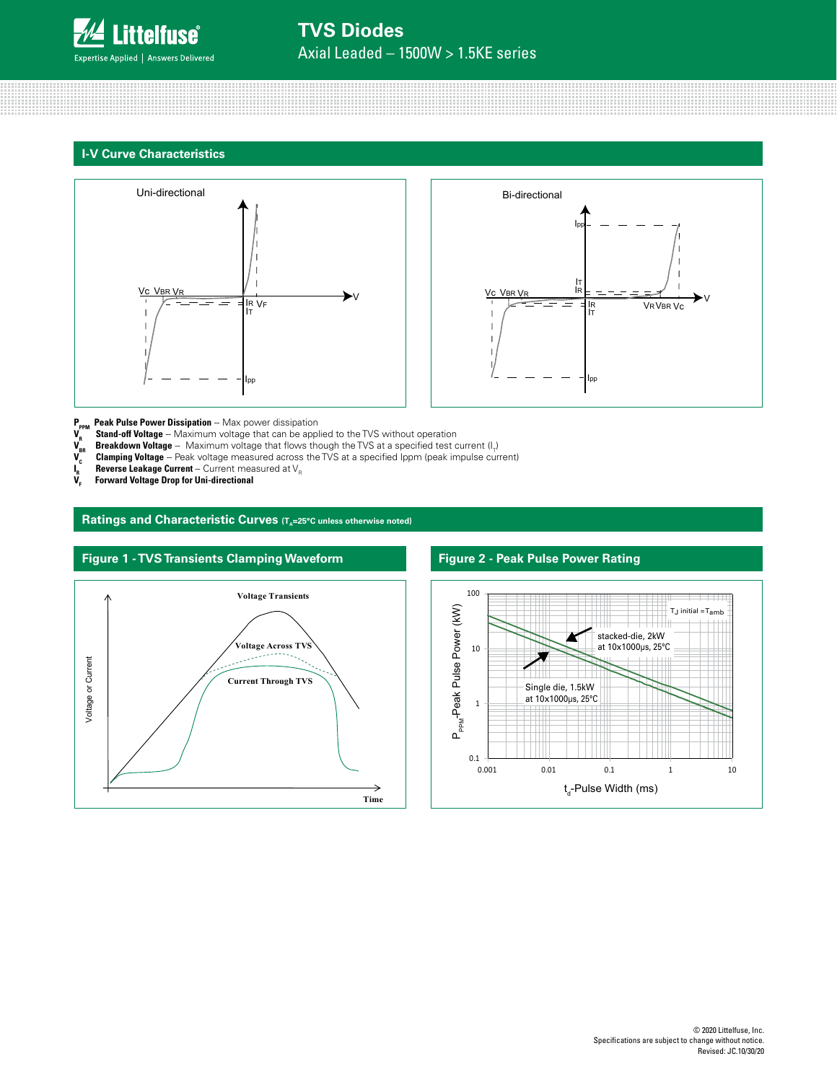

### **TVS Diodes** Axial Leaded – 1500W > 1.5KE series







- **P<sub>PPM</sub> Peak Pulse Power Dissipation** -- Max power dissipation
- **V<sub>R</sub> Stand-off Voltage** -- Maximum voltage that can be applied to the TVS without operation
- $\bm V_{_{\sf BR}}$  **Breakdown Voltage** -- Maximum voltage that flows though the TVS at a specified test current (I<sub>T</sub>)
- $\bm V_{\rm c}$  **Clamping Voltage** Peak voltage measured across the TVS at a specified Ippm (peak impulse current)
- $V_c$ <br> $I_R$ <br> $V_F$  $_{\textrm{\tiny{R}}}$  **Reverse Leakage Current** -- Current measured at V<sub>R</sub>
- **Forward Voltage Drop for Uni-directional**

Ratings and Characteristic Curves (T<sub>A</sub>=25°C unless otherwise noted)





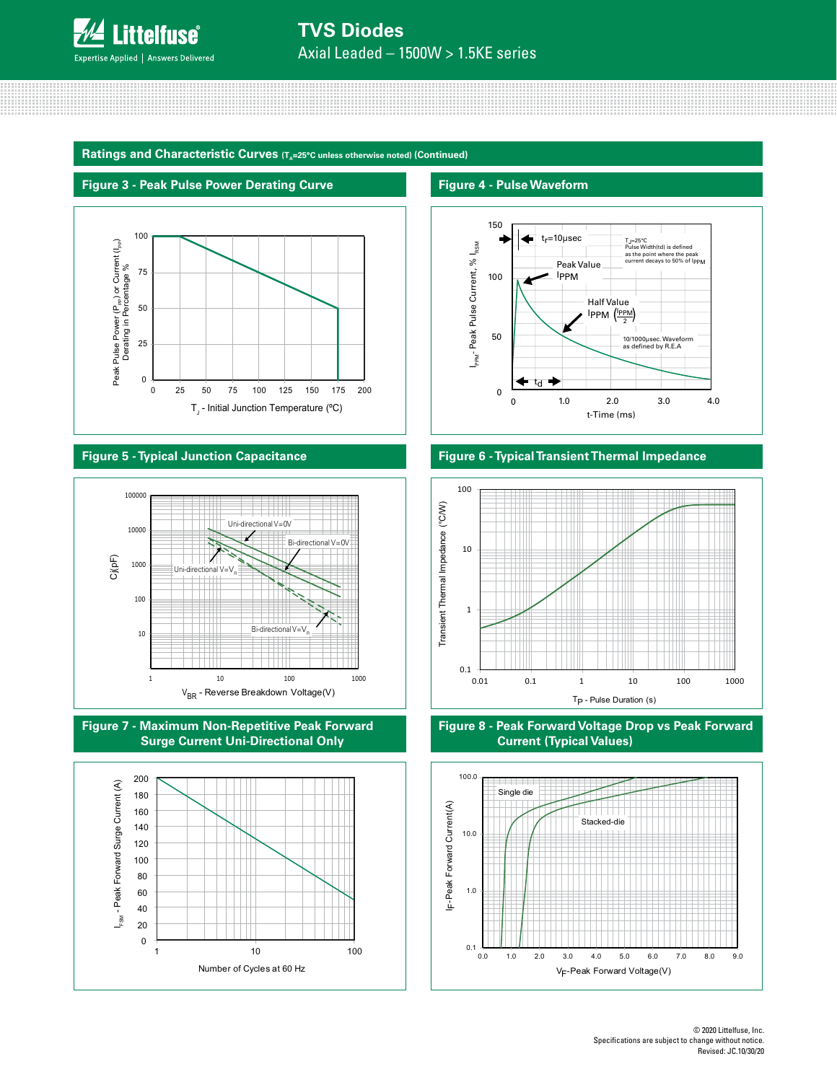

# **TVS Diodes**

Axial Leaded – 1500W > 1.5KE series

Ratings and Characteristic Curves (T<sub>a</sub>=25°C unless otherwise noted) (Continued)

### **Figure 3 - Peak Pulse Power Derating Curve**



### **Figure 5 - Typical Junction Capacitance**







### **Figure 4 - Pulse Waveform**



### **Figure 6 - Typical Transient Thermal Impedance**





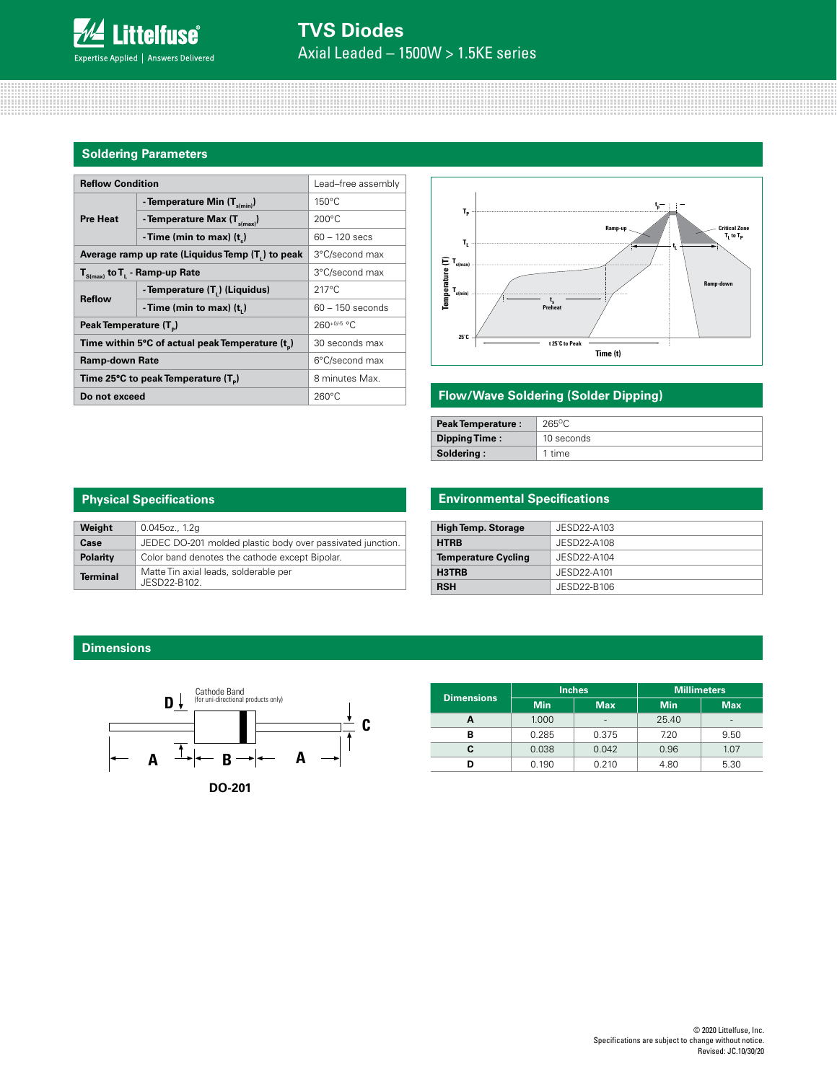### **Soldering Parameters**

| <b>Reflow Condition</b>                          | Lead-free assembly                         |                    |  |
|--------------------------------------------------|--------------------------------------------|--------------------|--|
|                                                  | - Temperature Min $(T_{\text{s/min}})$     | $150^{\circ}$ C    |  |
| <b>Pre Heat</b>                                  | - Temperature Max $(T_{\text{simax}})$     | $200^{\circ}$ C    |  |
|                                                  | -Time (min to max) $(t_*)$                 | $60 - 120$ secs    |  |
| Average ramp up rate (Liquidus Temp (T,) to peak | 3°C/second max                             |                    |  |
| $T_{\text{S(max)}}$ to $T_{L}$ - Ramp-up Rate    | 3°C/second max                             |                    |  |
| <b>Reflow</b>                                    | - Temperature (T <sub>1</sub> ) (Liquidus) | $217^{\circ}$ C    |  |
|                                                  | -Time (min to max) $(t_n)$                 | $60 - 150$ seconds |  |
| Peak Temperature (T <sub>n</sub> )               |                                            | $260^{+0/5}$ °C    |  |
| Time within 5°C of actual peak Temperature (t)   | 30 seconds max                             |                    |  |
| <b>Ramp-down Rate</b>                            | 6°C/second max                             |                    |  |
| Time 25°C to peak Temperature (T <sub>a</sub> )  | 8 minutes Max.                             |                    |  |
| Do not exceed                                    | $260^{\circ}$ C                            |                    |  |



### **Flow/Wave Soldering (Solder Dipping)**

| <b>Peak Temperature:</b> | 265°C      |
|--------------------------|------------|
| Dipping Time:            | 10 seconds |
| Soldering:               | 1 time     |

| <b>Physical Specifications</b> |                                                            |  |  |  |
|--------------------------------|------------------------------------------------------------|--|--|--|
| Weight                         | 0.045oz., 1.2q                                             |  |  |  |
| Case                           | JEDEC DO-201 molded plastic body over passivated junction. |  |  |  |
| Polarity                       | Color band denotes the cathode except Bipolar.             |  |  |  |
| Terminal                       | Matte Tin axial leads, solderable per<br>JESD22-B102.      |  |  |  |

### **Environmental Specifications**

| <b>High Temp. Storage</b>  | JESD22-A103 |
|----------------------------|-------------|
| <b>HTRB</b>                | JESD22-A108 |
| <b>Temperature Cycling</b> | JESD22-A104 |
| H3TRB                      | JESD22-A101 |
| <b>RSH</b>                 | JESD22-B106 |

### **Dimensions**



|                   |            | <b>Inches</b>            | <b>Millimeters</b> |                          |  |
|-------------------|------------|--------------------------|--------------------|--------------------------|--|
| <b>Dimensions</b> | <b>Min</b> | <b>Max</b>               | <b>Min</b>         | <b>Max</b>               |  |
|                   | 1.000      | $\overline{\phantom{a}}$ | 25.40              | $\overline{\phantom{a}}$ |  |
| в                 | 0.285      | 0.375                    | 7.20               | 9.50                     |  |
|                   | 0.038      | 0.042                    | 0.96               | 1.07                     |  |
|                   | 0.190      | 0.210                    | 4.80               | 5.30                     |  |